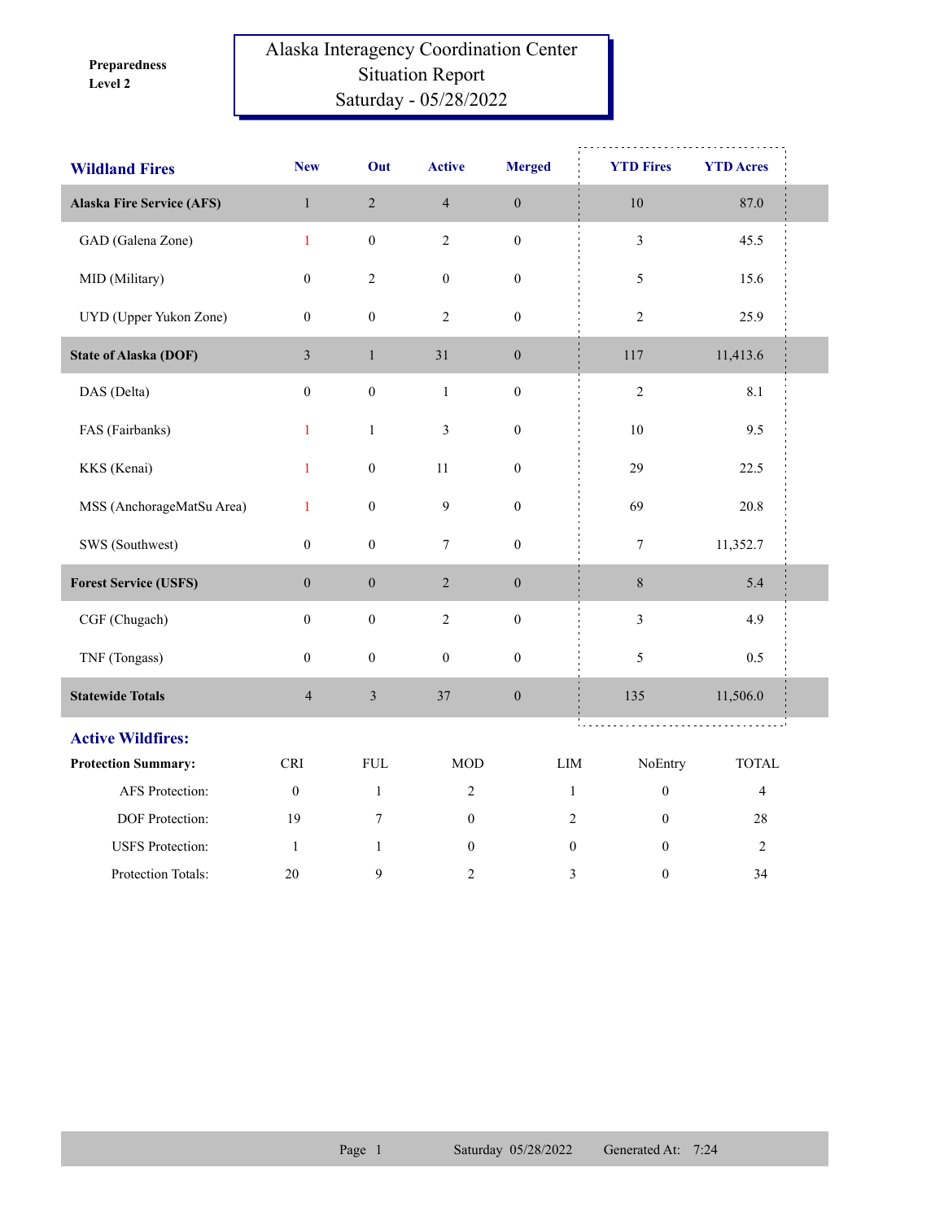**Level 2 Preparedness** 

## Alaska Interagency Coordination Center Situation Report Saturday - 05/28/2022

| <b>Wildland Fires</b>            | <b>New</b>       | Out              | <b>Active</b>    | <b>Merged</b>    | <b>YTD Fires</b>                 | <b>YTD Acres</b> |  |
|----------------------------------|------------------|------------------|------------------|------------------|----------------------------------|------------------|--|
| <b>Alaska Fire Service (AFS)</b> | $\,1\,$          | $\sqrt{2}$       | $\overline{4}$   | $\boldsymbol{0}$ | $10\,$                           | 87.0             |  |
| GAD (Galena Zone)                | $\mathbf{1}$     | $\boldsymbol{0}$ | $\overline{2}$   | $\boldsymbol{0}$ | $\overline{\mathbf{3}}$          | 45.5             |  |
| MID (Military)                   | $\boldsymbol{0}$ | $\sqrt{2}$       | $\boldsymbol{0}$ | $\boldsymbol{0}$ | 5                                | 15.6             |  |
| UYD (Upper Yukon Zone)           | $\boldsymbol{0}$ | $\boldsymbol{0}$ | $\overline{c}$   | $\boldsymbol{0}$ | $\overline{c}$                   | 25.9             |  |
| <b>State of Alaska (DOF)</b>     | $\mathfrak{Z}$   | $\mathbf{1}$     | 31               | $\boldsymbol{0}$ | 117                              | 11,413.6         |  |
| DAS (Delta)                      | $\boldsymbol{0}$ | $\boldsymbol{0}$ | $\mathbf{1}$     | $\boldsymbol{0}$ | $\sqrt{2}$                       | 8.1              |  |
| FAS (Fairbanks)                  | $\mathbf{1}$     | $\mathbf{1}$     | $\mathfrak{Z}$   | $\boldsymbol{0}$ | $10\,$                           | 9.5              |  |
| KKS (Kenai)                      | $\mathbf{1}$     | $\boldsymbol{0}$ | $11\,$           | $\boldsymbol{0}$ | 29                               | 22.5             |  |
| MSS (AnchorageMatSu Area)        | $\mathbf{1}$     | $\boldsymbol{0}$ | $\mathbf{9}$     | $\boldsymbol{0}$ | 69                               | 20.8             |  |
| SWS (Southwest)                  | $\boldsymbol{0}$ | $\boldsymbol{0}$ | $\tau$           | $\boldsymbol{0}$ | $\tau$                           | 11,352.7         |  |
| <b>Forest Service (USFS)</b>     | $\boldsymbol{0}$ | $\boldsymbol{0}$ | $\overline{2}$   | $\boldsymbol{0}$ | 8                                | 5.4              |  |
| CGF (Chugach)                    | $\boldsymbol{0}$ | $\boldsymbol{0}$ | $\sqrt{2}$       | $\boldsymbol{0}$ | 3                                | 4.9              |  |
| TNF (Tongass)                    | $\boldsymbol{0}$ | $\boldsymbol{0}$ | $\boldsymbol{0}$ | $\boldsymbol{0}$ | 5                                | 0.5              |  |
| <b>Statewide Totals</b>          | $\overline{4}$   | $\mathfrak{Z}$   | 37               | $\boldsymbol{0}$ | 135                              | 11,506.0         |  |
| <b>Active Wildfires:</b>         |                  |                  |                  |                  |                                  |                  |  |
| <b>Protection Summary:</b>       | <b>CRI</b>       | <b>FUL</b>       | <b>MOD</b>       | LIM              | NoEntry                          | <b>TOTAL</b>     |  |
| AFS Protection:                  | $\boldsymbol{0}$ | $\mathbf{1}$     | $\overline{2}$   |                  | $\boldsymbol{0}$<br>$\mathbf{1}$ | $\overline{4}$   |  |
| DOF Protection:                  | 19               | 7                | $\mathbf{0}$     |                  | $\sqrt{2}$<br>$\Omega$           | $28\,$           |  |
| <b>USFS</b> Protection:          | $\mathbf{1}$     | $\mathbf{1}$     | $\boldsymbol{0}$ |                  | $\boldsymbol{0}$<br>$\mathbf{0}$ | $\sqrt{2}$       |  |
| Protection Totals:               | 20               | 9                | 2                |                  | 3<br>$\boldsymbol{0}$            | 34               |  |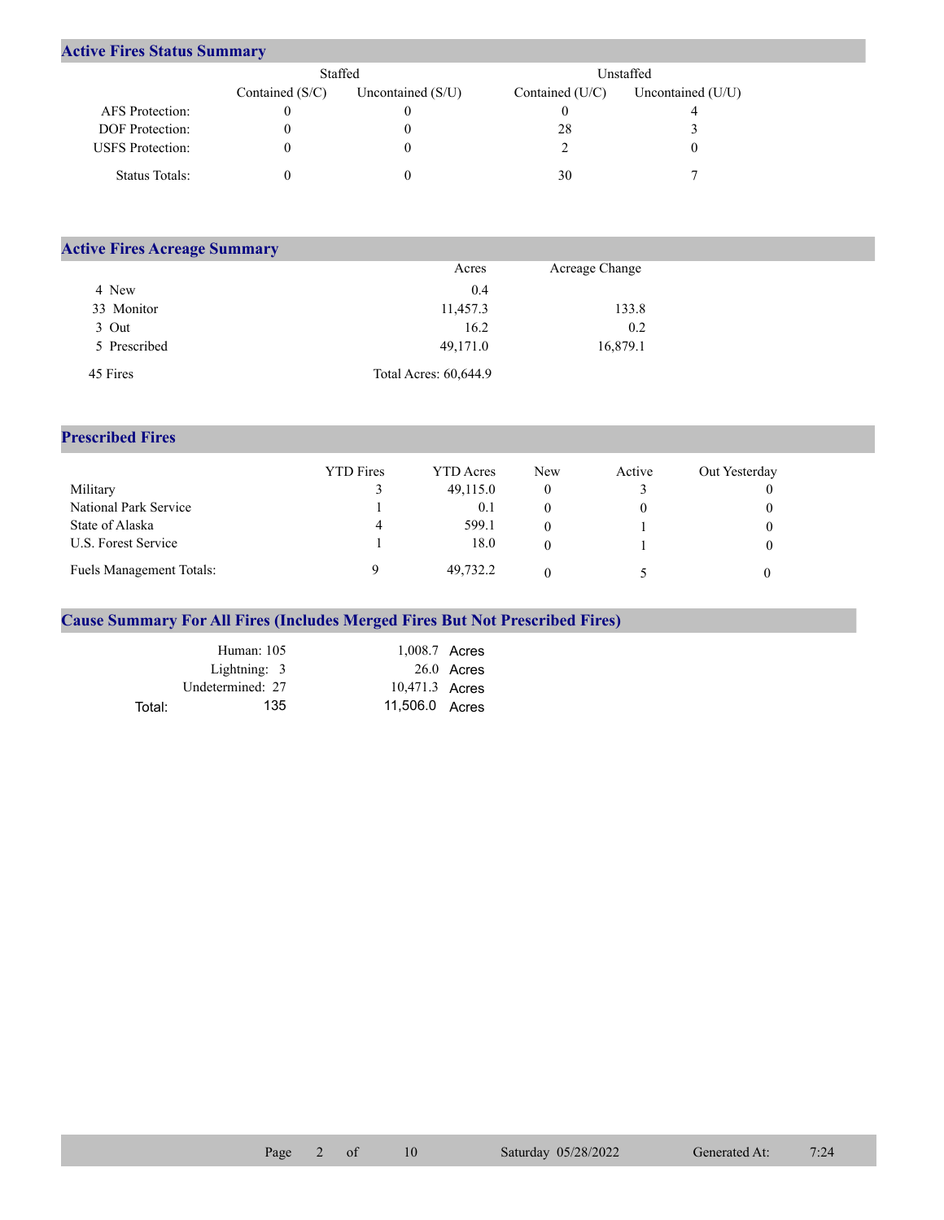## **Active Fires Status Summary**

|                         | Staffed           |                     | Unstaffed       |                   |  |
|-------------------------|-------------------|---------------------|-----------------|-------------------|--|
|                         | Contained $(S/C)$ | Uncontained $(S/U)$ | Contained (U/C) | Uncontained (U/U) |  |
| AFS Protection:         |                   |                     |                 |                   |  |
| DOF Protection:         |                   |                     | 28              |                   |  |
| <b>USFS</b> Protection: |                   |                     |                 |                   |  |
| Status Totals:          |                   |                     | 30              |                   |  |

| <b>Active Fires Acreage Summary</b> |                       |                |  |  |  |  |
|-------------------------------------|-----------------------|----------------|--|--|--|--|
|                                     | Acres                 | Acreage Change |  |  |  |  |
| 4 New                               | 0.4                   |                |  |  |  |  |
| 33 Monitor                          | 11,457.3              | 133.8          |  |  |  |  |
| 3 Out                               | 16.2                  | 0.2            |  |  |  |  |
| 5 Prescribed                        | 49,171.0              | 16,879.1       |  |  |  |  |
| 45 Fires                            | Total Acres: 60,644.9 |                |  |  |  |  |

## **Prescribed Fires**

|                                 | <b>YTD</b> Fires | YTD Acres | New | Active | Out Yesterday |
|---------------------------------|------------------|-----------|-----|--------|---------------|
| Military                        |                  | 49,115.0  |     |        |               |
| National Park Service           |                  | 0.1       |     |        |               |
| State of Alaska                 | 4                | 599.1     |     |        |               |
| U.S. Forest Service             |                  | 18.0      |     |        |               |
| <b>Fuels Management Totals:</b> |                  | 49,732.2  |     |        |               |

## **Cause Summary For All Fires (Includes Merged Fires But Not Prescribed Fires)**

|        | Human: $105$     | 1,008.7 Acres  |            |
|--------|------------------|----------------|------------|
|        | Lightning: 3     |                | 26.0 Acres |
|        | Undetermined: 27 | 10,471.3 Acres |            |
| Total: | 135              | 11,506.0 Acres |            |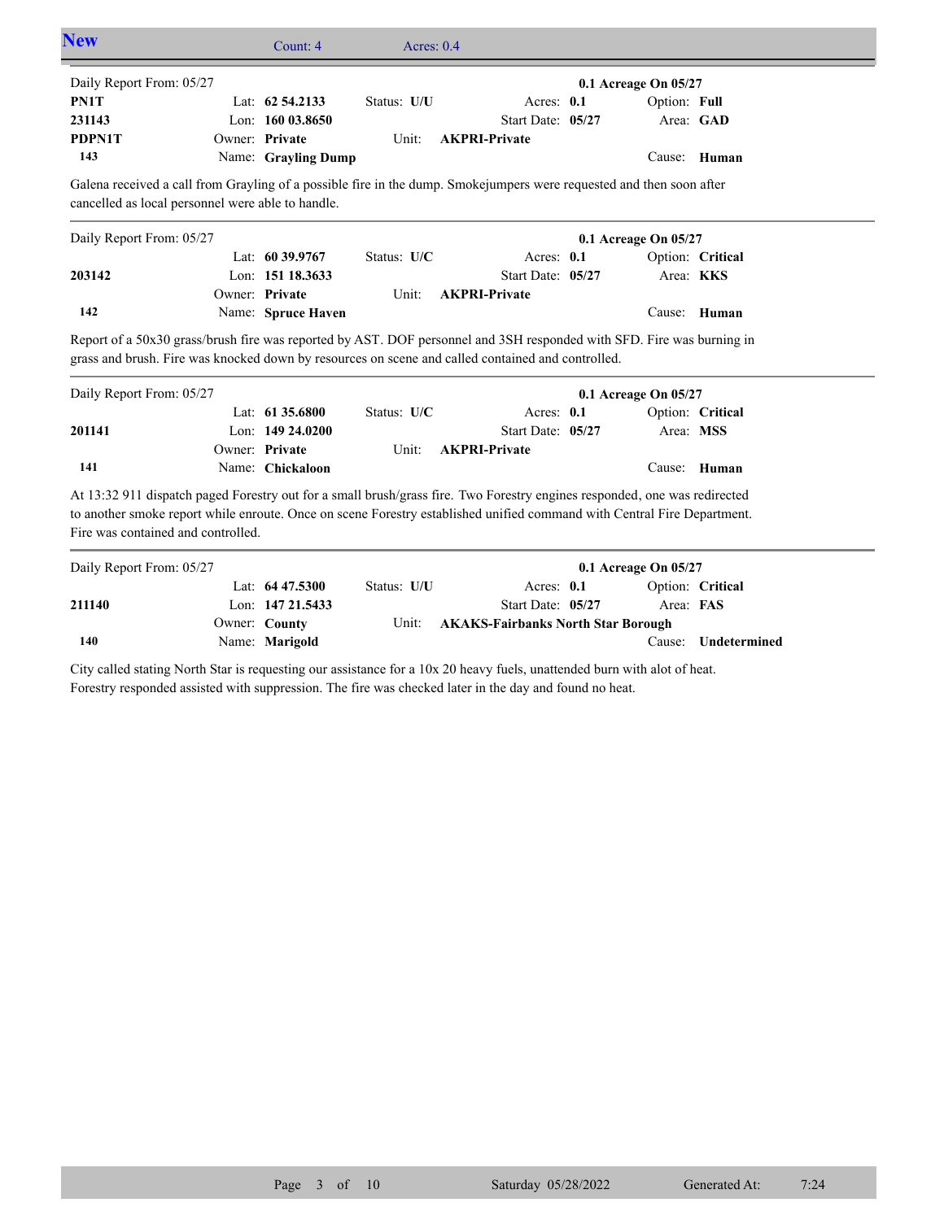|                                                   | Count: 4            | Acres: $0.4$ |                                                                                                                                                                                                                                                      |                      |                  |
|---------------------------------------------------|---------------------|--------------|------------------------------------------------------------------------------------------------------------------------------------------------------------------------------------------------------------------------------------------------------|----------------------|------------------|
| Daily Report From: 05/27                          |                     |              |                                                                                                                                                                                                                                                      | 0.1 Acreage On 05/27 |                  |
| PN1T                                              | Lat: 62 54.2133     | Status: U/U  | Acres: 0.1                                                                                                                                                                                                                                           | Option: Full         |                  |
| 231143                                            | Lon: 160 03.8650    |              | Start Date: 05/27                                                                                                                                                                                                                                    |                      | Area: GAD        |
| PDPN1T                                            | Owner: Private      | Unit:        | <b>AKPRI-Private</b>                                                                                                                                                                                                                                 |                      |                  |
| 143                                               | Name: Grayling Dump |              |                                                                                                                                                                                                                                                      |                      | Cause: Human     |
| cancelled as local personnel were able to handle. |                     |              | Galena received a call from Grayling of a possible fire in the dump. Smokejumpers were requested and then soon after                                                                                                                                 |                      |                  |
| Daily Report From: 05/27                          |                     |              |                                                                                                                                                                                                                                                      | 0.1 Acreage On 05/27 |                  |
|                                                   | Lat: 60 39.9767     | Status: U/C  | Acres: 0.1                                                                                                                                                                                                                                           |                      | Option: Critical |
| 203142                                            | Lon: 151 18.3633    |              | Start Date: 05/27                                                                                                                                                                                                                                    |                      | Area: KKS        |
|                                                   | Owner: Private      | Unit:        | <b>AKPRI-Private</b>                                                                                                                                                                                                                                 |                      |                  |
| 142                                               | Name: Spruce Haven  |              |                                                                                                                                                                                                                                                      |                      | Cause: Human     |
|                                                   |                     |              |                                                                                                                                                                                                                                                      |                      |                  |
| Daily Report From: 05/27                          |                     |              | Report of a 50x30 grass/brush fire was reported by AST. DOF personnel and 3SH responded with SFD. Fire was burning in<br>grass and brush. Fire was knocked down by resources on scene and called contained and controlled.                           |                      |                  |
|                                                   | Lat: $6135.6800$    | Status: U/C  | Acres: $0.1$                                                                                                                                                                                                                                         | 0.1 Acreage On 05/27 | Option: Critical |
| 201141                                            | Lon: 149 24,0200    |              | Start Date: 05/27                                                                                                                                                                                                                                    |                      | Area: MSS        |
|                                                   | Owner: Private      | Unit:        | <b>AKPRI-Private</b>                                                                                                                                                                                                                                 |                      |                  |
| 141                                               | Name: Chickaloon    |              |                                                                                                                                                                                                                                                      |                      | Cause: Human     |
| Fire was contained and controlled.                |                     |              | At 13:32 911 dispatch paged Forestry out for a small brush/grass fire. Two Forestry engines responded, one was redirected<br>to another smoke report while enroute. Once on scene Forestry established unified command with Central Fire Department. |                      |                  |
| Daily Report From: 05/27                          |                     |              |                                                                                                                                                                                                                                                      | 0.1 Acreage On 05/27 |                  |
|                                                   | Lat: 64 47.5300     | Status: U/U  | Acres: 0.1                                                                                                                                                                                                                                           |                      | Option: Critical |
| 211140                                            | Lon: 147 21.5433    |              | Start Date: 05/27                                                                                                                                                                                                                                    | Area: FAS            |                  |

City called stating North Star is requesting our assistance for a 10x 20 heavy fuels, unattended burn with alot of heat. Forestry responded assisted with suppression. The fire was checked later in the day and found no heat.

Name: **Marigold**

**140**

Cause: **Undetermined**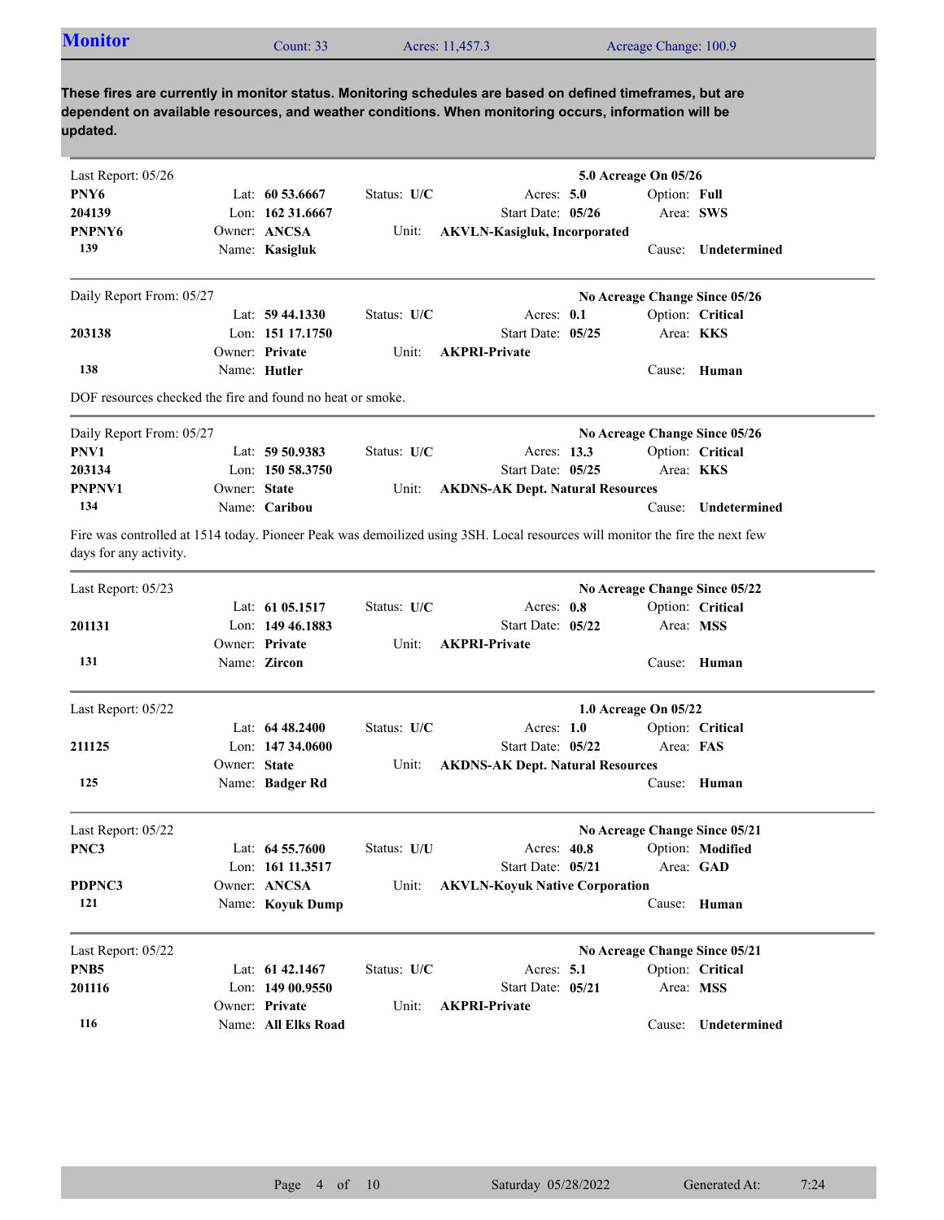| <b>Monitor</b>                                             |              | Count: 33                            |               | Acres: 11,457.3                                                                                                                                                                                                     |             | Acreage Change: 100.9         |                               |
|------------------------------------------------------------|--------------|--------------------------------------|---------------|---------------------------------------------------------------------------------------------------------------------------------------------------------------------------------------------------------------------|-------------|-------------------------------|-------------------------------|
| updated.                                                   |              |                                      |               | These fires are currently in monitor status. Monitoring schedules are based on defined timeframes, but are<br>dependent on available resources, and weather conditions. When monitoring occurs, information will be |             |                               |                               |
| Last Report: 05/26                                         |              |                                      |               |                                                                                                                                                                                                                     |             | 5.0 Acreage On 05/26          |                               |
| PNY <sub>6</sub>                                           |              | Lat: $60\,53.6667$                   | Status: $U/C$ | Acres: $5.0$                                                                                                                                                                                                        |             | Option: Full                  |                               |
| 204139                                                     |              | Lon: $16231.6667$                    |               | Start Date: 05/26                                                                                                                                                                                                   |             |                               | Area: SWS                     |
| PNPNY6                                                     |              | Owner: ANCSA                         | Unit:         | <b>AKVLN-Kasigluk, Incorporated</b>                                                                                                                                                                                 |             |                               |                               |
| 139                                                        |              | Name: Kasigluk                       |               |                                                                                                                                                                                                                     |             |                               | Cause: Undetermined           |
| Daily Report From: 05/27                                   |              |                                      |               |                                                                                                                                                                                                                     |             |                               | No Acreage Change Since 05/26 |
|                                                            |              | Lat: $59\,44.1330$                   | Status: U/C   | Acres: 0.1                                                                                                                                                                                                          |             |                               | Option: Critical              |
| 203138                                                     |              | Lon: 151 17.1750                     |               | Start Date: 05/25                                                                                                                                                                                                   |             |                               | Area: <b>KKS</b>              |
|                                                            |              | Owner: Private                       | Unit:         | <b>AKPRI-Private</b>                                                                                                                                                                                                |             |                               |                               |
| 138                                                        |              | Name: Hutler                         |               |                                                                                                                                                                                                                     |             |                               | Cause: Human                  |
| DOF resources checked the fire and found no heat or smoke. |              |                                      |               |                                                                                                                                                                                                                     |             |                               |                               |
| Daily Report From: 05/27                                   |              |                                      |               |                                                                                                                                                                                                                     |             |                               | No Acreage Change Since 05/26 |
| PNV1                                                       |              | Lat: $59\,50.9383$                   | Status: U/C   |                                                                                                                                                                                                                     | Acres: 13.3 |                               | Option: Critical              |
| 203134                                                     |              | Lon: $15058.3750$                    |               | Start Date: 05/25                                                                                                                                                                                                   |             |                               | Area: KKS                     |
| PNPNV1                                                     | Owner: State |                                      | Unit:         | <b>AKDNS-AK Dept. Natural Resources</b>                                                                                                                                                                             |             |                               |                               |
| 134                                                        |              | Name: Caribou                        |               |                                                                                                                                                                                                                     |             |                               | Cause: Undetermined           |
| days for any activity.                                     |              |                                      |               | Fire was controlled at 1514 today. Pioneer Peak was demoilized using 3SH. Local resources will monitor the fire the next few                                                                                        |             |                               |                               |
| Last Report: 05/23                                         |              |                                      |               |                                                                                                                                                                                                                     |             |                               | No Acreage Change Since 05/22 |
|                                                            |              | Lat: 61 05.1517                      | Status: $U/C$ | Acres: 0.8                                                                                                                                                                                                          |             |                               | Option: Critical              |
| 201131                                                     |              | Lon: $149\,46.1883$                  |               | Start Date: 05/22                                                                                                                                                                                                   |             |                               | Area: MSS                     |
|                                                            |              | Owner: Private                       | Unit:         | <b>AKPRI-Private</b>                                                                                                                                                                                                |             |                               |                               |
| 131                                                        |              | Name: Zircon                         |               |                                                                                                                                                                                                                     |             |                               | Cause: Human                  |
| Last Report: 05/22                                         |              |                                      |               |                                                                                                                                                                                                                     |             | 1.0 Acreage On 05/22          |                               |
|                                                            |              | Lat: $6448.2400$                     | Status: U/C   | Acres: $1.0$                                                                                                                                                                                                        |             |                               | Option: Critical              |
| 211125                                                     |              | Lon: $14734.0600$                    |               | Start Date: 05/22                                                                                                                                                                                                   |             | Area: FAS                     |                               |
|                                                            | Owner: State |                                      | Unit:         | <b>AKDNS-AK Dept. Natural Resources</b>                                                                                                                                                                             |             |                               |                               |
| 125                                                        |              | Name: Badger Rd                      |               |                                                                                                                                                                                                                     |             |                               | Cause: Human                  |
| Last Report: 05/22                                         |              |                                      |               |                                                                                                                                                                                                                     |             | No Acreage Change Since 05/21 |                               |
| PNC3                                                       |              | Lat: 64 55.7600                      | Status: U/U   |                                                                                                                                                                                                                     | Acres: 40.8 |                               | Option: Modified              |
|                                                            |              | Lon: 161 11.3517                     |               | Start Date: 05/21                                                                                                                                                                                                   |             |                               | Area: GAD                     |
| PDPNC3                                                     |              | Owner: ANCSA                         | Unit:         | <b>AKVLN-Koyuk Native Corporation</b>                                                                                                                                                                               |             |                               |                               |
| 121                                                        |              | Name: Koyuk Dump                     |               |                                                                                                                                                                                                                     |             |                               | Cause: Human                  |
|                                                            |              |                                      |               |                                                                                                                                                                                                                     |             |                               |                               |
| Last Report: 05/22                                         |              |                                      |               |                                                                                                                                                                                                                     |             | No Acreage Change Since 05/21 |                               |
| PNB <sub>5</sub>                                           |              | Lat: 61 42.1467<br>Lon: $14900.9550$ | Status: U/C   | Acres: 5.1<br>Start Date: 05/21                                                                                                                                                                                     |             |                               | Option: Critical              |
| 201116                                                     |              | Owner: Private                       |               | <b>AKPRI-Private</b>                                                                                                                                                                                                |             |                               | Area: MSS                     |
| 116                                                        |              | Name: All Elks Road                  | Unit:         |                                                                                                                                                                                                                     |             |                               | Cause: Undetermined           |
|                                                            |              |                                      |               |                                                                                                                                                                                                                     |             |                               |                               |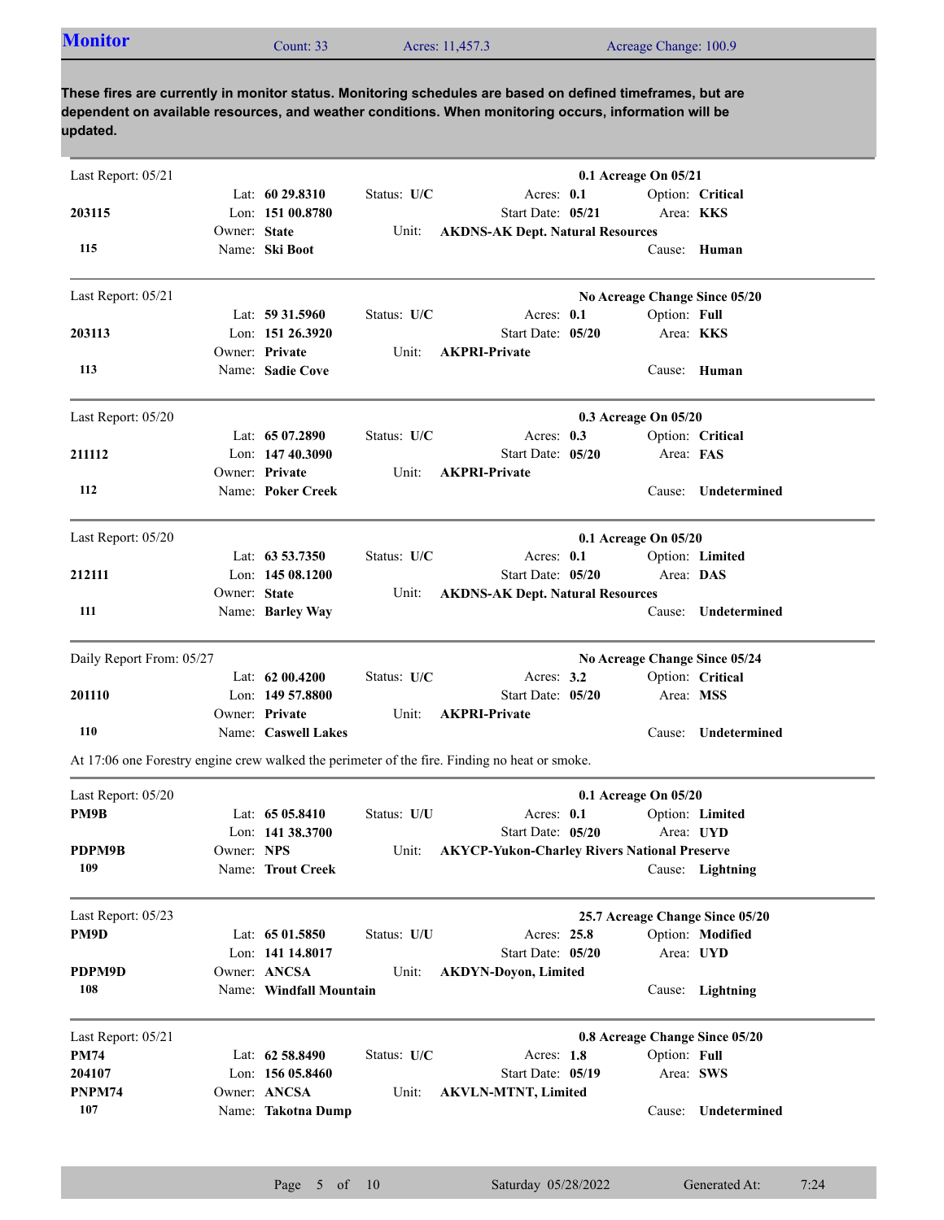| <b>Monitor</b><br>Acres: 11,457.3<br>Count: $332$ | Acreage Change: 100.9 |
|---------------------------------------------------|-----------------------|
|---------------------------------------------------|-----------------------|

| Last Report: 05/21       |              |                         |             |                                                                                               | 0.1 Acreage On 05/21            |                     |
|--------------------------|--------------|-------------------------|-------------|-----------------------------------------------------------------------------------------------|---------------------------------|---------------------|
|                          |              | Lat: $6029.8310$        | Status: U/C | Acres: 0.1                                                                                    |                                 | Option: Critical    |
| 203115                   |              | Lon: 151 00.8780        |             | Start Date: 05/21                                                                             | Area: KKS                       |                     |
|                          | Owner: State |                         | Unit:       | <b>AKDNS-AK Dept. Natural Resources</b>                                                       |                                 |                     |
| 115                      |              | Name: Ski Boot          |             |                                                                                               |                                 | Cause: Human        |
| Last Report: 05/21       |              |                         |             |                                                                                               | No Acreage Change Since 05/20   |                     |
|                          |              | Lat: $59\,31.5960$      | Status: U/C | Acres: 0.1                                                                                    | Option: Full                    |                     |
| 203113                   |              | Lon: 151 26.3920        |             | Start Date: 05/20                                                                             | Area: KKS                       |                     |
|                          |              | Owner: Private          | Unit:       | <b>AKPRI-Private</b>                                                                          |                                 |                     |
| 113                      |              | Name: Sadie Cove        |             |                                                                                               |                                 | Cause: Human        |
| Last Report: 05/20       |              |                         |             |                                                                                               | 0.3 Acreage On 05/20            |                     |
|                          |              | Lat: $6507.2890$        | Status: U/C | Acres: $0.3$                                                                                  |                                 | Option: Critical    |
| 211112                   |              | Lon: $14740.3090$       |             | Start Date: 05/20                                                                             | Area: FAS                       |                     |
|                          |              | Owner: Private          | Unit:       | <b>AKPRI-Private</b>                                                                          |                                 |                     |
| 112                      |              | Name: Poker Creek       |             |                                                                                               |                                 | Cause: Undetermined |
| Last Report: 05/20       |              |                         |             |                                                                                               | 0.1 Acreage On 05/20            |                     |
|                          |              | Lat: $63\,53.7350$      | Status: U/C | Acres: 0.1                                                                                    |                                 | Option: Limited     |
| 212111                   |              | Lon: $14508.1200$       |             | Start Date: 05/20                                                                             | Area: DAS                       |                     |
|                          | Owner: State |                         | Unit:       | <b>AKDNS-AK Dept. Natural Resources</b>                                                       |                                 |                     |
| 111                      |              | Name: Barley Way        |             |                                                                                               |                                 | Cause: Undetermined |
| Daily Report From: 05/27 |              |                         |             |                                                                                               | No Acreage Change Since 05/24   |                     |
|                          |              | Lat: 62 00.4200         | Status: U/C | Acres: $3.2$                                                                                  |                                 | Option: Critical    |
| 201110                   |              | Lon: 149 57.8800        |             | Start Date: 05/20                                                                             | Area: MSS                       |                     |
|                          |              | Owner: Private          | Unit:       | <b>AKPRI-Private</b>                                                                          |                                 |                     |
| 110                      |              | Name: Caswell Lakes     |             |                                                                                               |                                 | Cause: Undetermined |
|                          |              |                         |             | At 17:06 one Forestry engine crew walked the perimeter of the fire. Finding no heat or smoke. |                                 |                     |
| Last Report: 05/20       |              |                         |             |                                                                                               | 0.1 Acreage On 05/20            |                     |
| PM9B                     |              | Lat: $6505.8410$        | Status: U/U | Acres: 0.1                                                                                    |                                 | Option: Limited     |
|                          |              | Lon: 141 38.3700        |             | Start Date: 05/20                                                                             |                                 | Area: UYD           |
| PDPM9B                   | Owner: NPS   |                         |             | Unit: AKYCP-Yukon-Charley Rivers National Preserve                                            |                                 |                     |
| 109                      |              | Name: Trout Creek       |             |                                                                                               |                                 | Cause: Lightning    |
| Last Report: 05/23       |              |                         |             |                                                                                               | 25.7 Acreage Change Since 05/20 |                     |
| PM9D                     |              | Lat: $6501.5850$        | Status: U/U | Acres: 25.8                                                                                   |                                 | Option: Modified    |
|                          |              | Lon: 141 14.8017        |             | Start Date: 05/20                                                                             |                                 | Area: UYD           |
| PDPM9D                   |              | Owner: ANCSA            | Unit:       | <b>AKDYN-Doyon, Limited</b>                                                                   |                                 |                     |
| 108                      |              | Name: Windfall Mountain |             |                                                                                               |                                 | Cause: Lightning    |
| Last Report: 05/21       |              |                         |             |                                                                                               | 0.8 Acreage Change Since 05/20  |                     |
| <b>PM74</b>              |              | Lat: 62 58.8490         | Status: U/C | Acres: 1.8                                                                                    | Option: Full                    |                     |
| 204107                   |              | Lon: 156 05.8460        |             | Start Date: 05/19                                                                             |                                 | Area: SWS           |
| PNPM74                   |              | Owner: ANCSA            | Unit:       | <b>AKVLN-MTNT, Limited</b>                                                                    |                                 |                     |
| 107                      |              | Name: Takotna Dump      |             |                                                                                               |                                 | Cause: Undetermined |
|                          |              |                         |             |                                                                                               |                                 |                     |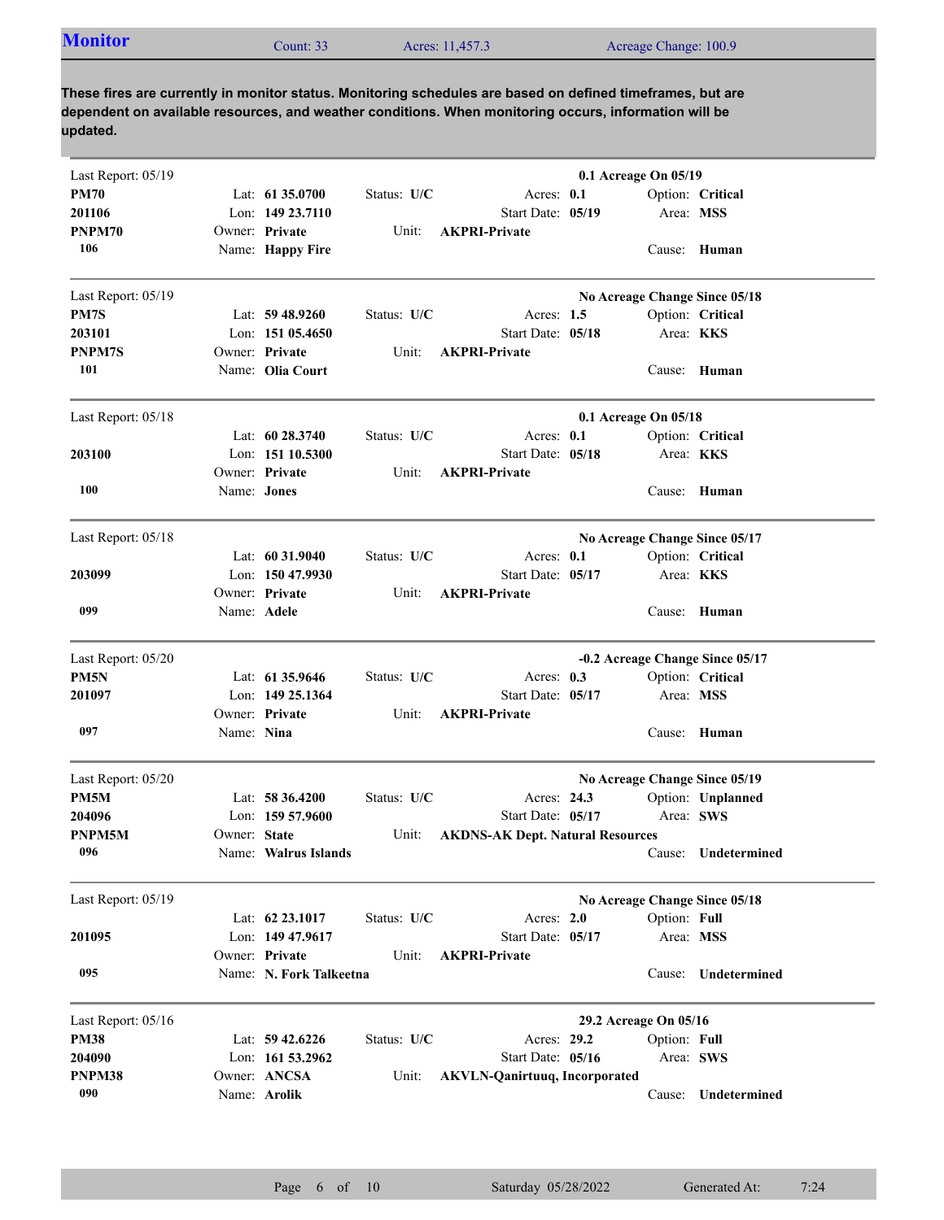| <b>Monitor</b><br>Acreage Change: 100.9<br>Acres: 11,457.3<br>Count: 33 |
|-------------------------------------------------------------------------|
|-------------------------------------------------------------------------|

| Last Report: 05/19 |                    |                         |             |                                         | 0.1 Acreage On 05/19  |              |                                 |
|--------------------|--------------------|-------------------------|-------------|-----------------------------------------|-----------------------|--------------|---------------------------------|
| <b>PM70</b>        |                    | Lat: 61 35.0700         | Status: U/C | Acres: 0.1                              |                       |              | Option: Critical                |
| 201106             |                    | Lon: 149 23.7110        |             | Start Date: 05/19                       |                       |              | Area: MSS                       |
| PNPM70             |                    | Owner: Private          | Unit:       | <b>AKPRI-Private</b>                    |                       |              |                                 |
| 106                |                    | Name: Happy Fire        |             |                                         |                       |              | Cause: Human                    |
| Last Report: 05/19 |                    |                         |             |                                         |                       |              | No Acreage Change Since 05/18   |
| PM7S               |                    | Lat: 59 48.9260         | Status: U/C | Acres: $1.5$                            |                       |              | Option: Critical                |
| 203101             |                    | Lon: $15105.4650$       |             | Start Date: 05/18                       |                       |              | Area: KKS                       |
| PNPM7S             |                    | Owner: Private          | Unit:       | <b>AKPRI-Private</b>                    |                       |              |                                 |
| 101                |                    | Name: Olia Court        |             |                                         |                       | Cause:       | Human                           |
| Last Report: 05/18 |                    |                         |             |                                         | 0.1 Acreage On 05/18  |              |                                 |
|                    |                    | Lat: 60 28.3740         | Status: U/C | Acres: 0.1                              |                       |              | Option: Critical                |
| 203100             |                    | Lon: $15110.5300$       |             | Start Date: 05/18                       |                       |              | Area: <b>KKS</b>                |
|                    |                    | Owner: Private          | Unit:       | <b>AKPRI-Private</b>                    |                       |              |                                 |
| <b>100</b>         | Name: <b>Jones</b> |                         |             |                                         |                       | Cause:       | Human                           |
| Last Report: 05/18 |                    |                         |             |                                         |                       |              | No Acreage Change Since 05/17   |
|                    |                    | Lat: $60\,31.9040$      | Status: U/C | Acres: $0.1$                            |                       |              | Option: Critical                |
| 203099             |                    | Lon: 150 47.9930        |             | Start Date: 05/17                       |                       |              | Area: KKS                       |
|                    |                    | Owner: Private          | Unit:       | <b>AKPRI-Private</b>                    |                       |              |                                 |
| 099                |                    | Name: Adele             |             |                                         |                       | Cause:       | Human                           |
| Last Report: 05/20 |                    |                         |             |                                         |                       |              | -0.2 Acreage Change Since 05/17 |
| PM <sub>5N</sub>   |                    | Lat: 61 35.9646         | Status: U/C | Acres: 0.3                              |                       |              | Option: Critical                |
| 201097             |                    | Lon: 149 25.1364        |             | Start Date: 05/17                       |                       |              | Area: MSS                       |
|                    |                    | Owner: Private          | Unit:       | <b>AKPRI-Private</b>                    |                       |              |                                 |
| 097                | Name: Nina         |                         |             |                                         |                       |              | Cause: Human                    |
| Last Report: 05/20 |                    |                         |             |                                         |                       |              | No Acreage Change Since 05/19   |
| PM5M               |                    | Lat: $58\,36.4200$      | Status: U/C | Acres: 24.3                             |                       |              | Option: Unplanned               |
| 204096             |                    | Lon: $15957.9600$       |             | Start Date: 05/17                       |                       |              | Area: SWS                       |
| PNPM5M             | Owner: State       |                         | Unit:       | <b>AKDNS-AK Dept. Natural Resources</b> |                       |              |                                 |
| 096                |                    | Name: Walrus Islands    |             |                                         |                       |              | Cause: Undetermined             |
| Last Report: 05/19 |                    |                         |             |                                         |                       |              | No Acreage Change Since 05/18   |
|                    |                    | Lat: $62\,23.1017$      | Status: U/C | Acres: $2.0$                            |                       | Option: Full |                                 |
| 201095             |                    | Lon: 149 47.9617        |             | Start Date: 05/17                       |                       |              | Area: MSS                       |
|                    |                    | Owner: Private          | Unit:       | <b>AKPRI-Private</b>                    |                       |              |                                 |
| 095                |                    | Name: N. Fork Talkeetna |             |                                         |                       |              | Cause: Undetermined             |
| Last Report: 05/16 |                    |                         |             |                                         | 29.2 Acreage On 05/16 |              |                                 |
| <b>PM38</b>        |                    | Lat: 59 42.6226         | Status: U/C | Acres: 29.2                             |                       | Option: Full |                                 |
| 204090             |                    | Lon: 161 53.2962        |             | Start Date: 05/16                       |                       |              | Area: SWS                       |
| PNPM38             |                    | Owner: ANCSA            | Unit:       | <b>AKVLN-Qanirtuuq, Incorporated</b>    |                       |              |                                 |
| 090                |                    | Name: Arolik            |             |                                         |                       | Cause:       | Undetermined                    |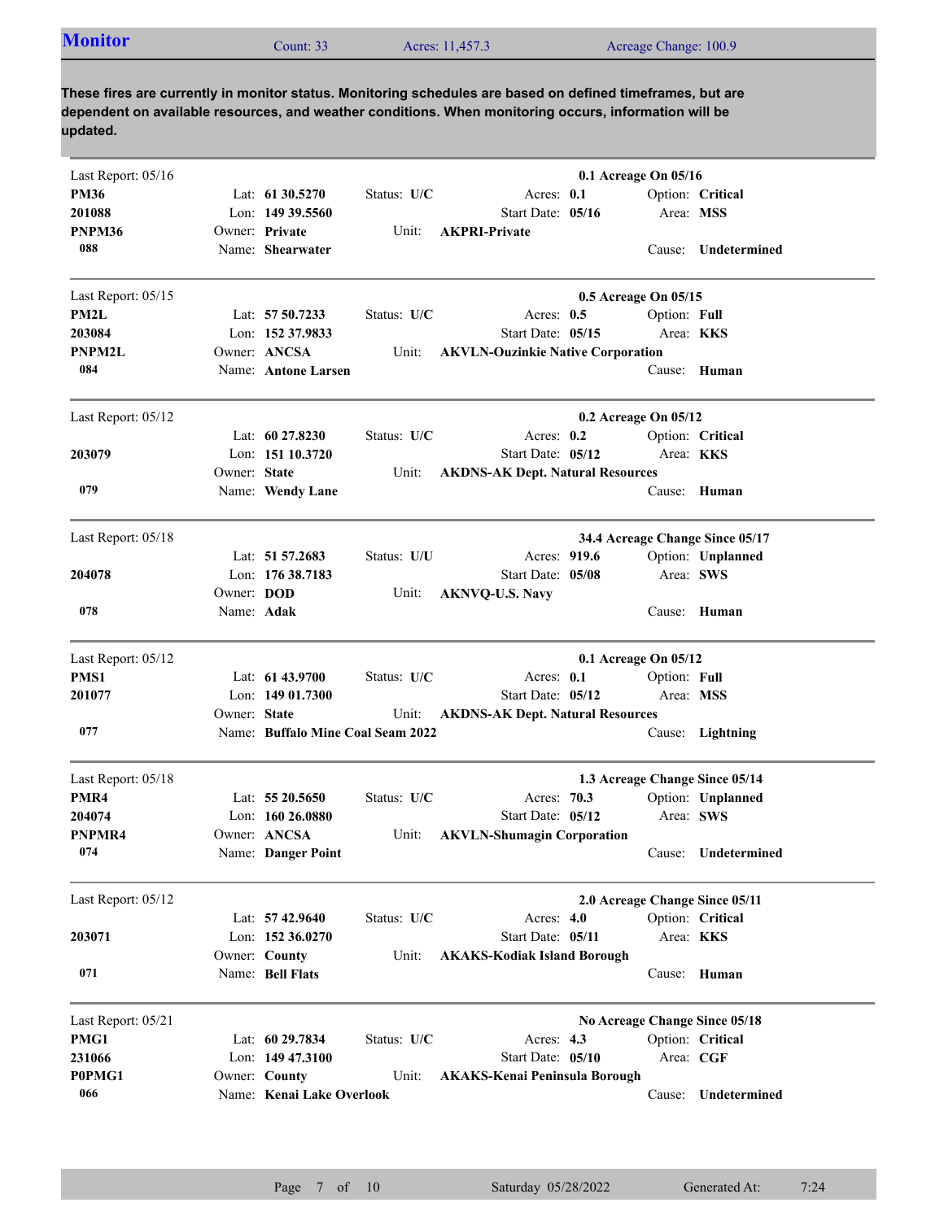| <b>Monitor</b> | Count: $331$ | Acres: 11,457.3 | Acreage Change: 100.9 |
|----------------|--------------|-----------------|-----------------------|
|                |              |                 |                       |

| Last Report: 05/16 |                   |                                   |             |                                          | 0.1 Acreage On 05/16 |              |                                 |
|--------------------|-------------------|-----------------------------------|-------------|------------------------------------------|----------------------|--------------|---------------------------------|
| <b>PM36</b>        |                   | Lat: 61 30.5270                   | Status: U/C | Acres: 0.1                               |                      |              | Option: Critical                |
| 201088             |                   | Lon: 149 39.5560                  |             | Start Date: 05/16                        |                      |              | Area: MSS                       |
| PNPM36             |                   | Owner: Private                    | Unit:       | <b>AKPRI-Private</b>                     |                      |              |                                 |
| 088                |                   | Name: Shearwater                  |             |                                          |                      | Cause:       | Undetermined                    |
| Last Report: 05/15 |                   |                                   |             |                                          | 0.5 Acreage On 05/15 |              |                                 |
| PM2L               |                   | Lat: $5750.7233$                  | Status: U/C | Acres: $0.5$                             |                      | Option: Full |                                 |
| 203084             |                   | Lon: 152 37.9833                  |             | Start Date: 05/15                        |                      |              | Area: KKS                       |
| <b>PNPM2L</b>      |                   | Owner: ANCSA                      | Unit:       | <b>AKVLN-Ouzinkie Native Corporation</b> |                      |              |                                 |
| 084                |                   | Name: Antone Larsen               |             |                                          |                      |              | Cause: Human                    |
| Last Report: 05/12 |                   |                                   |             |                                          | 0.2 Acreage On 05/12 |              |                                 |
|                    |                   | Lat: $60\,27.8230$                | Status: U/C | Acres: $0.2$                             |                      |              | Option: Critical                |
| 203079             |                   | Lon: 151 10.3720                  |             | Start Date: 05/12                        |                      |              | Area: KKS                       |
|                    | Owner: State      |                                   | Unit:       | <b>AKDNS-AK Dept. Natural Resources</b>  |                      |              |                                 |
| 079                |                   | Name: Wendy Lane                  |             |                                          |                      |              | Cause: Human                    |
|                    |                   |                                   |             |                                          |                      |              |                                 |
| Last Report: 05/18 |                   |                                   |             |                                          |                      |              | 34.4 Acreage Change Since 05/17 |
|                    |                   | Lat: 51 57.2683                   | Status: U/U | Acres: 919.6                             |                      |              | Option: Unplanned               |
| 204078             |                   | Lon: 176 38.7183                  |             | Start Date: 05/08                        |                      |              | Area: SWS                       |
|                    | Owner: <b>DOD</b> |                                   | Unit:       | <b>AKNVQ-U.S. Navy</b>                   |                      |              |                                 |
| 078                | Name: Adak        |                                   |             |                                          |                      |              | Cause: Human                    |
| Last Report: 05/12 |                   |                                   |             |                                          | 0.1 Acreage On 05/12 |              |                                 |
| PMS1               |                   | Lat: 61 43.9700                   | Status: U/C | Acres: 0.1                               |                      | Option: Full |                                 |
| 201077             |                   | Lon: 149 01.7300                  |             | Start Date: 05/12                        |                      |              | Area: MSS                       |
|                    | Owner: State      |                                   | Unit:       | <b>AKDNS-AK Dept. Natural Resources</b>  |                      |              |                                 |
| 077                |                   | Name: Buffalo Mine Coal Seam 2022 |             |                                          |                      |              | Cause: Lightning                |
| Last Report: 05/18 |                   |                                   |             |                                          |                      |              | 1.3 Acreage Change Since 05/14  |
| PMR4               |                   | Lat: $5520.5650$                  | Status: U/C | Acres: 70.3                              |                      |              | Option: Unplanned               |
| 204074             |                   | Lon: $160\,26.0880$               |             | Start Date: 05/12                        |                      |              | Area: SWS                       |
| PNPMR4             |                   | Owner: ANCSA                      | Unit:       | <b>AKVLN-Shumagin Corporation</b>        |                      |              |                                 |
| 074                |                   | Name: Danger Point                |             |                                          |                      |              | Cause: Undetermined             |
| Last Report: 05/12 |                   |                                   |             |                                          |                      |              | 2.0 Acreage Change Since 05/11  |
|                    |                   | Lat: 57 42.9640                   | Status: U/C | Acres: $4.0$                             |                      |              | Option: Critical                |
| 203071             |                   | Lon: 152 36.0270                  |             | Start Date: 05/11                        |                      |              | Area: KKS                       |
|                    |                   | Owner: County                     | Unit:       | <b>AKAKS-Kodiak Island Borough</b>       |                      |              |                                 |
| 071                |                   | Name: Bell Flats                  |             |                                          |                      |              | Cause: Human                    |
| Last Report: 05/21 |                   |                                   |             |                                          |                      |              | No Acreage Change Since 05/18   |
| PMG1               |                   | Lat: 60 29.7834                   | Status: U/C | Acres: 4.3                               |                      |              | Option: Critical                |
| 231066             |                   | Lon: 149 47.3100                  |             | Start Date: 05/10                        |                      |              | Area: CGF                       |
| P0PMG1             |                   | Owner: County                     | Unit:       | <b>AKAKS-Kenai Peninsula Borough</b>     |                      |              |                                 |
| 066                |                   | Name: Kenai Lake Overlook         |             |                                          |                      | Cause:       | Undetermined                    |
|                    |                   |                                   |             |                                          |                      |              |                                 |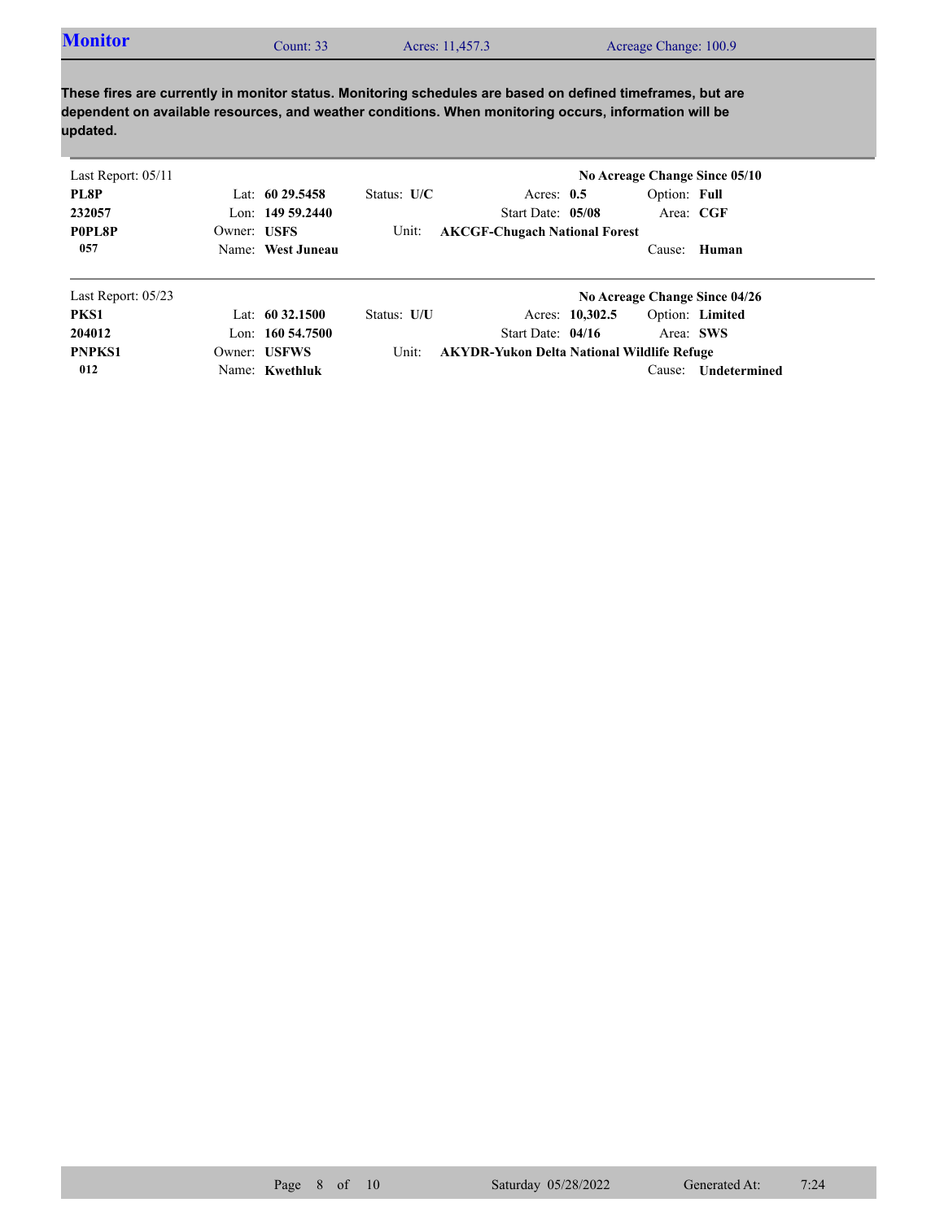| <b>Monitor</b><br>Acreage Change: 100.9<br>Acres: 11,457.3<br>Count: 33 |  |
|-------------------------------------------------------------------------|--|
|-------------------------------------------------------------------------|--|

| Last Report: $05/11$ |             |                     |               |                                                   |                 |              | No Acreage Change Since 05/10 |
|----------------------|-------------|---------------------|---------------|---------------------------------------------------|-----------------|--------------|-------------------------------|
| PL8P                 |             | Lat: $6029.5458$    | Status: $U/C$ | Acres: $0.5$                                      |                 | Option: Full |                               |
| 232057               |             | Lon: $14959.2440$   |               | Start Date: 05/08                                 |                 | Area: CGF    |                               |
| P0PL8P               | Owner: USFS |                     | Unit:         | <b>AKCGF-Chugach National Forest</b>              |                 |              |                               |
| 057                  |             | Name: West Juneau   |               |                                                   |                 |              | Cause: Human                  |
| Last Report: $05/23$ |             |                     |               |                                                   |                 |              | No Acreage Change Since 04/26 |
| PKS1                 |             | Lat: $60\,32.1500$  | Status: U/U   |                                                   | Acres: 10,302.5 |              | Option: Limited               |
| 204012               |             | Lon: $160\,54.7500$ |               | Start Date: $04/16$                               |                 | Area: SWS    |                               |
| <b>PNPKS1</b>        |             | Owner: USFWS        | Unit:         | <b>AKYDR-Yukon Delta National Wildlife Refuge</b> |                 |              |                               |
| 012                  |             | Name: Kwethluk      |               |                                                   |                 | Cause:       | <b>Undetermined</b>           |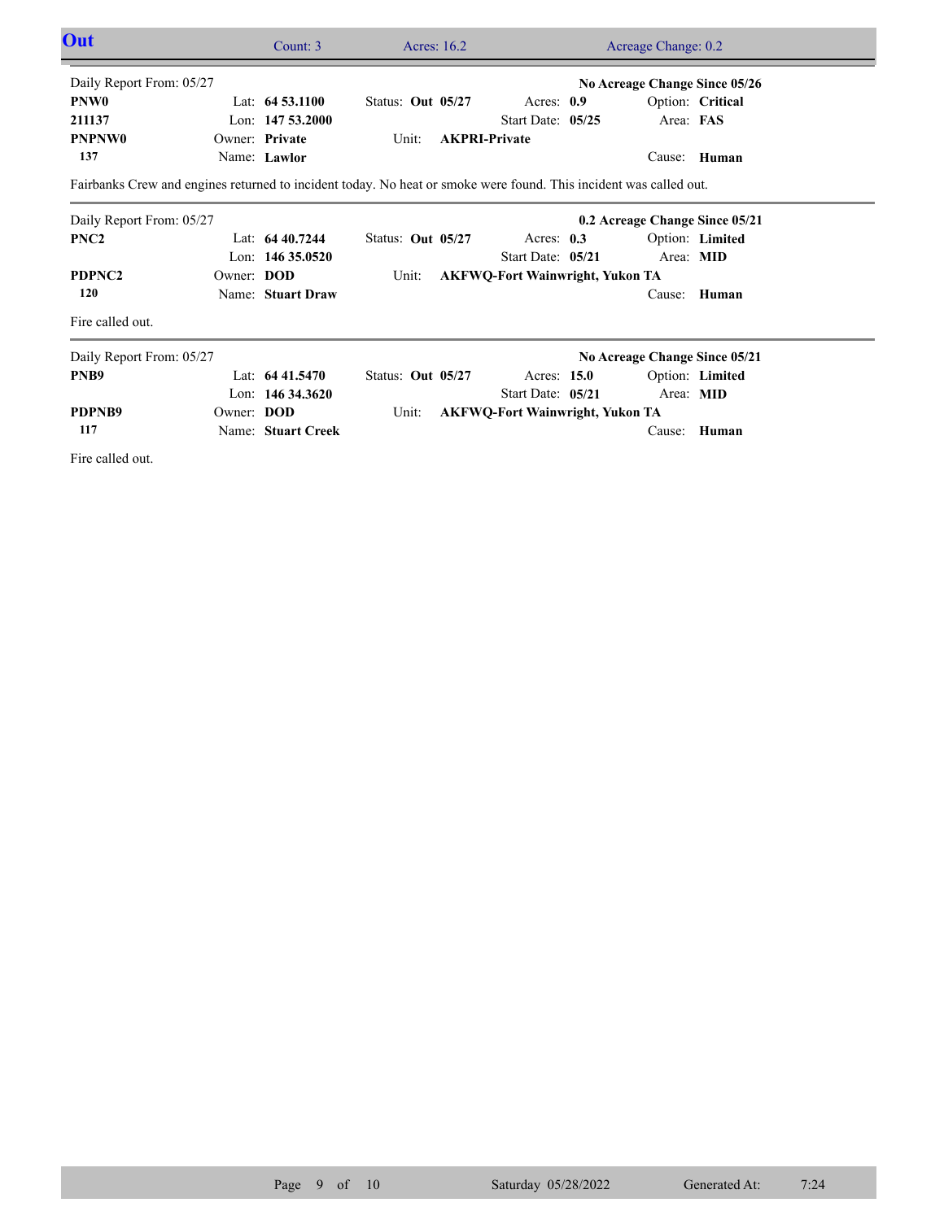| Out                                                                                                               |            | Count: 3           |                   | Acres: 16.2 |                                        |  | Acreage Change: 0.2            |                  |  |
|-------------------------------------------------------------------------------------------------------------------|------------|--------------------|-------------------|-------------|----------------------------------------|--|--------------------------------|------------------|--|
| Daily Report From: 05/27                                                                                          |            |                    |                   |             |                                        |  | No Acreage Change Since 05/26  |                  |  |
| <b>PNW0</b>                                                                                                       |            | Lat: $64\,53.1100$ | Status: Out 05/27 |             | Acres: $0.9$                           |  |                                | Option: Critical |  |
| 211137                                                                                                            |            | Lon: $14753.2000$  |                   |             | Start Date: 05/25                      |  | Area: FAS                      |                  |  |
| <b>PNPNW0</b>                                                                                                     |            | Owner: Private     | Unit:             |             | <b>AKPRI-Private</b>                   |  |                                |                  |  |
| 137                                                                                                               |            | Name: Lawlor       |                   |             |                                        |  |                                | Cause: Human     |  |
| Fairbanks Crew and engines returned to incident today. No heat or smoke were found. This incident was called out. |            |                    |                   |             |                                        |  |                                |                  |  |
| Daily Report From: 05/27                                                                                          |            |                    |                   |             |                                        |  | 0.2 Acreage Change Since 05/21 |                  |  |
| PNC <sub>2</sub>                                                                                                  |            | Lat: 64 40.7244    | Status: Out 05/27 |             | Acres: 0.3                             |  |                                | Option: Limited  |  |
|                                                                                                                   |            | Lon: $14635.0520$  |                   |             | Start Date: 05/21                      |  | Area: MID                      |                  |  |
| PDPNC <sub>2</sub>                                                                                                | Owner: DOD |                    | Unit:             |             | <b>AKFWQ-Fort Wainwright, Yukon TA</b> |  |                                |                  |  |
| 120                                                                                                               |            | Name: Stuart Draw  |                   |             |                                        |  |                                | Cause: Human     |  |
| Fire called out.                                                                                                  |            |                    |                   |             |                                        |  |                                |                  |  |
| Daily Report From: 05/27                                                                                          |            |                    |                   |             | No Acreage Change Since 05/21          |  |                                |                  |  |
| PNB9                                                                                                              |            | Lat: $6441.5470$   | Status: Out 05/27 |             | Acres: 15.0                            |  |                                | Option: Limited  |  |
|                                                                                                                   |            | Lon: $14634.3620$  |                   |             | Start Date: 05/21                      |  | Area: MID                      |                  |  |
| PDPNB9                                                                                                            | Owner: DOD |                    | Unit:             |             | <b>AKFWQ-Fort Wainwright, Yukon TA</b> |  |                                |                  |  |
| 117                                                                                                               |            | Name: Stuart Creek |                   |             |                                        |  | Cause:                         | Human            |  |
| Fire called out.                                                                                                  |            |                    |                   |             |                                        |  |                                |                  |  |